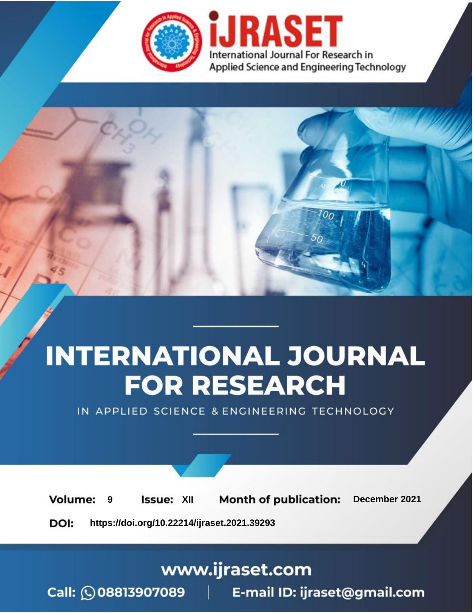

# **INTERNATIONAL JOURNAL FOR RESEARCH**

IN APPLIED SCIENCE & ENGINEERING TECHNOLOGY

**Month of publication: Volume: Issue: XII** December 2021 9 DOI: https://doi.org/10.22214/ijraset.2021.39293

www.ijraset.com

Call: 008813907089 | E-mail ID: ijraset@gmail.com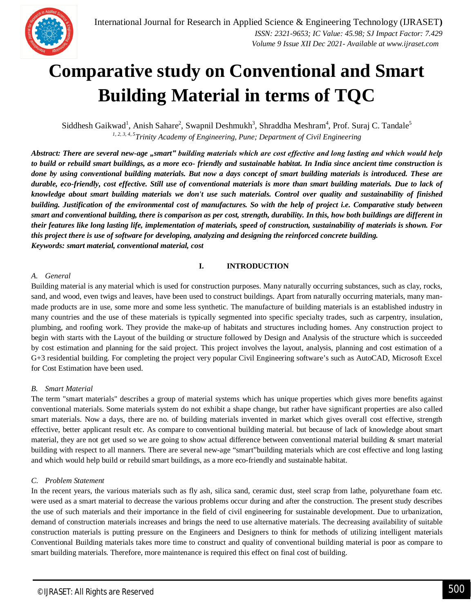

### **Comparative study on Conventional and Smart Building Material in terms of TQC**

Siddhesh Gaikwad<sup>1</sup>, Anish Sahare<sup>2</sup>, Swapnil Deshmukh<sup>3</sup>, Shraddha Meshram<sup>4</sup>, Prof. Suraj C. Tandale<sup>5</sup> *1, 2, 3, 4, 5Trinity Academy of Engineering, Pune; Department of Civil Engineering*

*Abstract: There are several new-age "smart" building materials which are cost effective and long lasting and which would help to build or rebuild smart buildings, as a more eco- friendly and sustainable habitat. In India since ancient time construction is done by using conventional building materials. But now a days concept of smart building materials is introduced. These are durable, eco-friendly, cost effective. Still use of conventional materials is more than smart building materials. Due to lack of knowledge about smart building materials we don't use such materials. Control over quality and sustainability of finished building. Justification of the environmental cost of manufactures. So with the help of project i.e. Comparative study between smart and conventional building, there is comparison as per cost, strength, durability. In this, how both buildings are different in their features like long lasting life, implementation of materials, speed of construction, sustainability of materials is shown. For this project there is use of software for developing, analyzing and designing the reinforced concrete building. Keywords: smart material, conventional material, cost* 

#### **I. INTRODUCTION**

#### *A. General*

Building material is any material which is used for construction purposes. Many naturally occurring substances, such as clay, rocks, sand, and wood, even twigs and leaves, have been used to construct buildings. Apart from naturally occurring materials, many manmade products are in use, some more and some less synthetic. The manufacture of building materials is an established industry in many countries and the use of these materials is typically segmented into specific specialty trades, such as carpentry, insulation, plumbing, and roofing work. They provide the make-up of habitats and structures including homes. Any construction project to begin with starts with the Layout of the building or structure followed by Design and Analysis of the structure which is succeeded by cost estimation and planning for the said project. This project involves the layout, analysis, planning and cost estimation of a G+3 residential building. For completing the project very popular Civil Engineering software's such as AutoCAD, Microsoft Excel for Cost Estimation have been used.

#### *B. Smart Material*

The term "smart materials" describes a group of material systems which has unique properties which gives more benefits against conventional materials. Some materials system do not exhibit a shape change, but rather have significant properties are also called smart materials. Now a days, there are no. of building materials invented in market which gives overall cost effective, strength effective, better applicant result etc. As compare to conventional building material. but because of lack of knowledge about smart material, they are not get used so we are going to show actual difference between conventional material building  $\&$  smart material building with respect to all manners. There are several new-age "smart"building materials which are cost effective and long lasting and which would help build or rebuild smart buildings, as a more eco-friendly and sustainable habitat.

#### *C. Problem Statement*

In the recent years, the various materials such as fly ash, silica sand, ceramic dust, steel scrap from lathe, polyurethane foam etc. were used as a smart material to decrease the various problems occur during and after the construction. The present study describes the use of such materials and their importance in the field of civil engineering for sustainable development. Due to urbanization, demand of construction materials increases and brings the need to use alternative materials. The decreasing availability of suitable construction materials is putting pressure on the Engineers and Designers to think for methods of utilizing intelligent materials Conventional Building materials takes more time to construct and quality of conventional building material is poor as compare to smart building materials. Therefore, more maintenance is required this effect on final cost of building.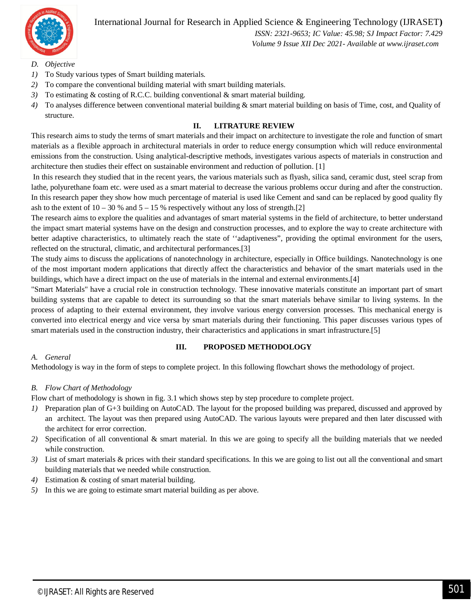

International Journal for Research in Applied Science & Engineering Technology (IJRASET**)**

 *ISSN: 2321-9653; IC Value: 45.98; SJ Impact Factor: 7.429 Volume 9 Issue XII Dec 2021- Available at www.ijraset.com*

- *D. Objective*
- *1)* To Study various types of Smart building materials.
- *2)* To compare the conventional building material with smart building materials.
- *3)* To estimating & costing of R.C.C. building conventional & smart material building.
- *4)* To analyses difference between conventional material building & smart material building on basis of Time, cost, and Quality of structure.

#### **II. LITRATURE REVIEW**

This research aims to study the terms of smart materials and their impact on architecture to investigate the role and function of smart materials as a flexible approach in architectural materials in order to reduce energy consumption which will reduce environmental emissions from the construction. Using analytical-descriptive methods, investigates various aspects of materials in construction and architecture then studies their effect on sustainable environment and reduction of pollution. [1]

In this research they studied that in the recent years, the various materials such as flyash, silica sand, ceramic dust, steel scrap from lathe, polyurethane foam etc. were used as a smart material to decrease the various problems occur during and after the construction. In this research paper they show how much percentage of material is used like Cement and sand can be replaced by good quality fly ash to the extent of  $10 - 30$  % and  $5 - 15$  % respectively without any loss of strength.[2]

The research aims to explore the qualities and advantages of smart material systems in the field of architecture, to better understand the impact smart material systems have on the design and construction processes, and to explore the way to create architecture with better adaptive characteristics, to ultimately reach the state of ''adaptiveness", providing the optimal environment for the users, reflected on the structural, climatic, and architectural performances.[3]

The study aims to discuss the applications of nanotechnology in architecture, especially in Office buildings. Nanotechnology is one of the most important modern applications that directly affect the characteristics and behavior of the smart materials used in the buildings, which have a direct impact on the use of materials in the internal and external environments.[4]

"Smart Materials" have a crucial role in construction technology. These innovative materials constitute an important part of smart building systems that are capable to detect its surrounding so that the smart materials behave similar to living systems. In the process of adapting to their external environment, they involve various energy conversion processes. This mechanical energy is converted into electrical energy and vice versa by smart materials during their functioning. This paper discusses various types of smart materials used in the construction industry, their characteristics and applications in smart infrastructure.[5]

#### **III. PROPOSED METHODOLOGY**

#### *A. General*

Methodology is way in the form of steps to complete project. In this following flowchart shows the methodology of project.

#### *B. Flow Chart of Methodology*

Flow chart of methodology is shown in fig. 3.1 which shows step by step procedure to complete project.

- *1)* Preparation plan of G+3 building on AutoCAD. The layout for the proposed building was prepared, discussed and approved by an architect. The layout was then prepared using AutoCAD. The various layouts were prepared and then later discussed with the architect for error correction.
- *2)* Specification of all conventional & smart material. In this we are going to specify all the building materials that we needed while construction.
- *3)* List of smart materials & prices with their standard specifications. In this we are going to list out all the conventional and smart building materials that we needed while construction.
- *4)* Estimation & costing of smart material building.
- *5)* In this we are going to estimate smart material building as per above.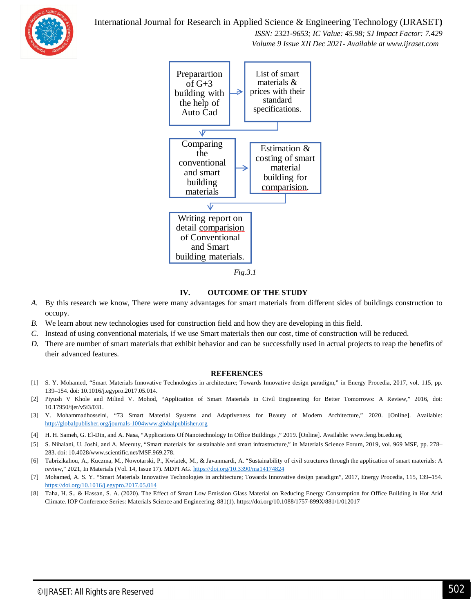

 *ISSN: 2321-9653; IC Value: 45.98; SJ Impact Factor: 7.429 Volume 9 Issue XII Dec 2021- Available at www.ijraset.com*



#### **IV. OUTCOME OF THE STUDY**

- *A.* By this research we know, There were many advantages for smart materials from different sides of buildings construction to occupy.
- *B.* We learn about new technologies used for construction field and how they are developing in this field.
- *C.* Instead of using conventional materials, if we use Smart materials then our cost, time of construction will be reduced.
- *D.* There are number of smart materials that exhibit behavior and can be successfully used in actual projects to reap the benefits of their advanced features.

#### **REFERENCES**

- [1] S. Y. Mohamed, "Smart Materials Innovative Technologies in architecture; Towards Innovative design paradigm," in Energy Procedia, 2017, vol. 115, pp. 139–154. doi: 10.1016/j.egypro.2017.05.014.
- [2] Piyush V Khole and Milind V. Mohod, "Application of Smart Materials in Civil Engineering for Better Tomorrows: A Review," 2016, doi: 10.17950/ijer/v5i3/031.
- [3] Y. Mohammadhosseini, "73 Smart Material Systems and Adaptiveness for Beauty of Modern Architecture," 2020. [Online]. Available: http://globalpublisher.org/journals-1004www.globalpublisher.org
- [4] H. H. Sameh, G. El-Din, and A. Nasa, "Applications Of Nanotechnology In Office Buildings ," 2019. [Online]. Available: www.feng.bu.edu.eg
- [5] S. Nihalani, U. Joshi, and A. Meeruty, "Smart materials for sustainable and smart infrastructure," in Materials Science Forum, 2019, vol. 969 MSF, pp. 278– 283. doi: 10.4028/www.scientific.net/MSF.969.278.
- [6] Tabrizikahou, A., Kuczma, M., Nowotarski, P., Kwiatek, M., & Javanmardi, A. "Sustainability of civil structures through the application of smart materials: A review," 2021, In Materials (Vol. 14, Issue 17). MDPI AG. https://doi.org/10.3390/ma14174824
- [7] Mohamed, A. S. Y. "Smart Materials Innovative Technologies in architecture; Towards Innovative design paradigm", 2017, Energy Procedia, 115, 139–154. https://doi.org/10.1016/j.egypro.2017.05.014
- [8] Taha, H. S., & Hassan, S. A. (2020). The Effect of Smart Low Emission Glass Material on Reducing Energy Consumption for Office Building in Hot Arid Climate. IOP Conference Series: Materials Science and Engineering, 881(1). https://doi.org/10.1088/1757-899X/881/1/012017